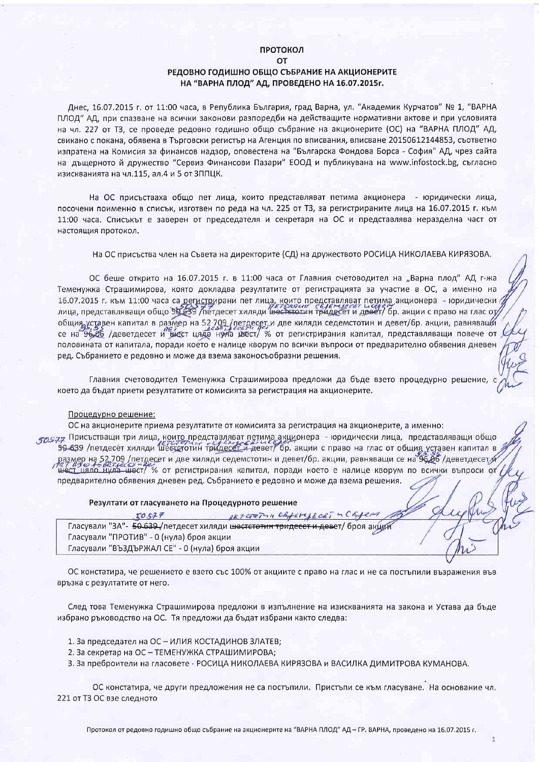#### ПРОТОКОЛ  $\Omega$

# РЕДОВНО ГОДИШНО ОБЩО СЪБРАНИЕ НА АКЦИОНЕРИТЕ НА "ВАРНА ПЛОД" АД, ПРОВЕДЕНО НА 16.07.2015г.

Днес, 16.07.2015 г. от 11:00 часа, в Република България, град Варна, ул. "Академик Курчатов" № 1, "ВАРНА ПЛОД" АД, при спазване на всички законови разпоредби на действащите нормативни актове и при условията на чл. 227 от Т3, се проведе редовно годишно общо събрание на акционерите (ОС) на "ВАРНА ПЛОД" АД, свикано с покана, обявена в Търговски регистър на Агенция по вписвания, вписване 20150612144853, съответно изпратена на Комисия за финансов надзор, оповестена на "Българска Фондова Борса - София" АД, чрез сайта на дъщерното й дружество "Сервиз Финансови Пазари" ЕООД и публикувана на www.infostock.bg, съгласно изискванията на чл.115, ал.4 и 5 от ЗППЦК.

На ОС присъстваха общо пет лица, които представляват петима акционера - юридически лица, посочени поименно в списък, изготвен по реда на чл. 225 от Т3, за регистрираните лица на 16.07.2015 г. към 11:00 часа. Списъкът е заверен от председателя и секретаря на ОС и представлява неразделна част от настоящия протокол.

На ОС присъства член на Съвета на директорите (СД) на дружеството РОСИЦА НИКОЛАЕВА КИРЯЗОВА.

ОС беше открито на 16.07.2015 г. в 11:00 часа от Главния счетоводител на "Варна плод" АД г-жа Теменужка Страшимирова, която докладва резултатите от регистрацията за участие в ОС, а именно на 16.07.2015 г. към 11:00 часа са регистрирани пет лица, които представляват петима акционера - юридически<br>лица, представляващи общо 59.639 /петдесет хиляди шестетотин тридесет и денет/ бр. акции с право на глас от общия уставен капитал в размер на 52 709 /петдесет и две хиляди седемстотин и девет/бр. акции, равняващи се на 96,06 /деветдесет и биест цядо нула мест/ % от регистрирания капитал, представляващи повече от половината от капитала, поради което е налице кворум по всички въпроси от предварително обявения дневен ред. Събранието е редовно и може да взема законосъобразни решения.

Главния счетоводител Теменужка Страшимирова предложи да бъде взето процедурно решение, което да бъдат приети резултатите от комисията за регистрация на акционерите.

## Процедурно решение:

ОС на акционерите приема резултатите от комисията за регистрация на акционерите, а именно: посядя Присъстващи три лица, които представляват петима акционера - юридически лица, представляващи общо 59-639 /петдесет хиляди шестетотин тридесет и девет/ бр. акции с право на глас от общив уставен капитал в размер на 52.709 /петдесет и две хиляди седемстотин и девет/бр. акции, равняващи се на 96.06 /деветдесет б шест цяло нула шест/ % от регистрирания капитал, поради което е налице кворум по всички въпроси от предварително обявения дневен ред. Събранието е редовно и може да взема решения.

#### Резултати от гласуването на Процедурното решение

 $50577$ 18700PM Chforseo Гласували "ЗА"- 50-639-/петдесет хиляди шестстотин тридесет и девет/ броя акщи Гласували "ПРОТИВ" - 0 (нула) броя акции Гласували "ВЪЗДЪРЖАЛ СЕ" - 0 (нула) броя акции

ОС констатира, че решението е взето със 100% от акциите с право на глас и не са постъпили възражения във връзка с резултатите от него.

След това Теменужка Страшимирова предложи в изпълнение на изискванията на закона и Устава да бъде избрано ръководство на ОС. Тя предложи да бъдат избрани както следва:

- 1. За председател на ОС ИЛИЯ КОСТАДИНОВ ЗЛАТЕВ;
- 2. За секретар на ОС ТЕМЕНУЖКА СТРАШИМИРОВА;
- 3. За преброители на гласовете РОСИЦА НИКОЛАЕВА КИРЯЗОВА и ВАСИЛКА ДИМИТРОВА КУМАНОВА.

ОС констатира, че други предложения не са постъпили. Пристъпи се към гласуване. На основание чл. 221 от ТЗ ОС взе следното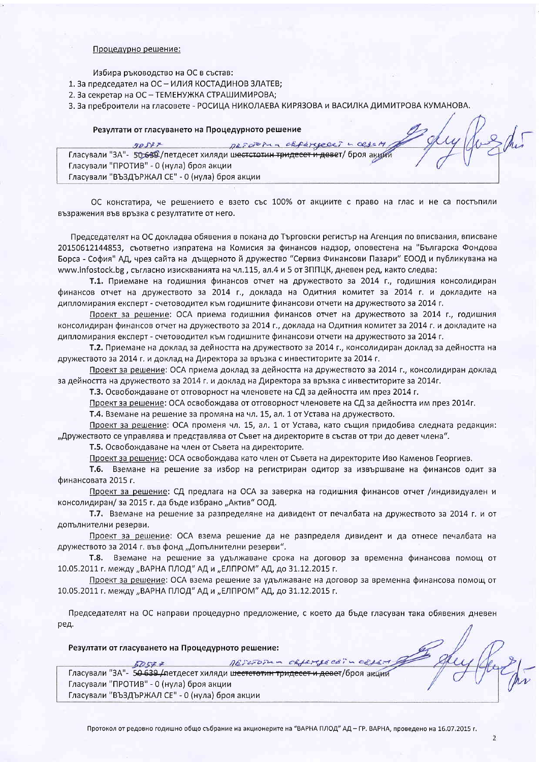## Процедурно решение:

Избира ръководство на ОС в състав:

- 1. За председател на ОС ИЛИЯ КОСТАДИНОВ ЗЛАТЕВ;
- 2. За секретар на ОС ТЕМЕНУЖКА СТРАШИМИРОВА;
- 3. За преброители на гласовете РОСИЦА НИКОЛАЕВА КИРЯЗОВА и ВАСИЛКА ДИМИТРОВА КУМАНОВА.

#### Резултати от гласуването на Процедурното решение

| クロゴナー                                                                            |  | DEFORMA ORFEREDET - CEJEM |
|----------------------------------------------------------------------------------|--|---------------------------|
| Гласували "ЗА"- 50 639 / петдесет хиляди шестстотин тридесет и девет/ броя акции |  |                           |
| Гласували "ПРОТИВ" - 0 (нула) броя акции                                         |  |                           |
| Гласували "ВЪЗДЪРЖАЛ СЕ" - 0 (нула) броя акции                                   |  |                           |

ОС констатира, че решението е взето със 100% от акциите с право на глас и не са постъпили възражения във връзка с резултатите от него.

Председателят на ОС докладва обявения в покана до Търговски регистър на Агенция по вписвания, вписване 20150612144853, съответно изпратена на Комисия за финансов надзор, оповестена на "Българска Фондова Борса - София" АД, чрез сайта на дъщерното й дружество "Сервиз Финансови Пазари" ЕООД и публикувана на www.infostock.bg, съгласно изискванията на чл.115, ал.4 и 5 от ЗППЦК, дневен ред, както следва:

Т.1. Приемане на годишния финансов отчет на дружеството за 2014 г., годишния консолидиран финансов отчет на дружеството за 2014 г., доклада на Одитния комитет за 2014 г. и докладите на дипломирания експерт - счетоводител към годишните финансови отчети на дружеството за 2014 г.

Проект за решение: ОСА приема годишния финансов отчет на дружеството за 2014 г., годишния консолидиран финансов отчет на дружеството за 2014 г., доклада на Одитния комитет за 2014 г. и докладите на дипломирания експерт - счетоводител към годишните финансови отчети на дружеството за 2014 г.

Т.2. Приемане на доклад за дейността на дружеството за 2014 г., консолидиран доклад за дейността на дружеството за 2014 г. и доклад на Директора за връзка с инвеститорите за 2014 г.

Проект за решение: ОСА приема доклад за дейността на дружеството за 2014 г., консолидиран доклад за дейността на дружеството за 2014 г. и доклад на Директора за връзка с инвеститорите за 2014г.

Т.3. Освобождаване от отговорност на членовете на СД за дейността им през 2014 г.

Проект за решение: ОСА освобождава от отговорност членовете на СД за дейността им през 2014г.

Т.4. Вземане на решение за промяна на чл. 15, ал. 1 от Устава на дружеството.

Проект за решение: ОСА променя чл. 15, ал. 1 от Устава, като същия придобива следната редакция: "Дружеството се управлява и представлява от Съвет на директорите в състав от три до девет члена".

Т.5. Освобождаване на член от Съвета на директорите.

Проект за решение: ОСА освобождава като член от Съвета на директорите Иво Каменов Георгиев.

Т.6. Вземане на решение за избор на регистриран одитор за извършване на финансов одит за финансовата 2015 г.

Проект за решение: СД предлага на ОСА за заверка на годишния финансов отчет /индивидуален и консолидиран/за 2015 г. да бъде избрано "Актив" ООД.

Т.7. Вземане на решение за разпределяне на дивидент от печалбата на дружеството за 2014 г. и от допълнителни резерви.

Проект за решение: ОСА взема решение да не разпределя дивидент и да отнесе печалбата на дружеството за 2014 г. във фонд "Допълнителни резерви".

Т.8. Вземане на решение за удължаване срока на договор за временна финансова помощ от 10.05.2011 г. между "ВАРНА ПЛОД" АД и "ЕЛПРОМ" АД, до 31.12.2015 г.

Проект за решение: ОСА взема решение за удължаване на договор за временна финансова помощ от 10.05.2011 г. между "ВАРНА ПЛОД" АД и "ЕЛПРОМ" АД, до 31.12.2015 г.

Председателят на ОС направи процедурно предложение, с което да бъде гласуван така обявения дневен ред.

Резултати от гласуването на Процедурното решение:

RESCIOTUM CELETJECE:  $57577$ Гласували "ЗА"- 50 639 /петдесет хиляди шестстотин тридесет и девет/броя акций Гласували "ПРОТИВ" - 0 (нула) броя акции Гласували "ВЪЗДЪРЖАЛ СЕ" - 0 (нула) броя акции

Joseph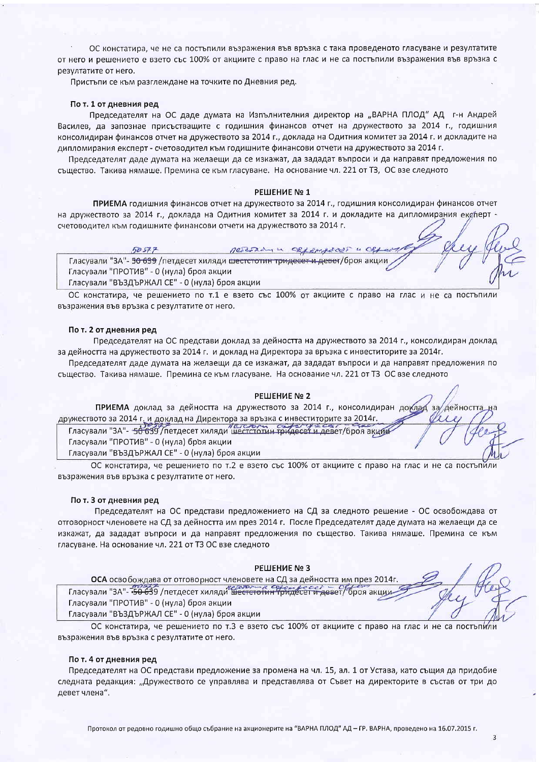ОС констатира, че не са постъпили възражения във връзка с така проведеното гласуване и резултатите от него и решението е взето със 100% от акциите с право на глас и не са постъпили възражения във връзка с резултатите от него.

Пристъпи се към разглеждане на точките по Дневния ред.

## По т. 1 от дневния ред

Председателят на ОС даде думата на Изпълнителния директор на "ВАРНА ПЛОД" АД г-н Андрей Василев, да запознае присъстващите с годишния финансов отчет на дружеството за 2014 г., годишния консолидиран финансов отчет на дружеството за 2014 г., доклада на Одитния комитет за 2014 г. и докладите на дипломирания експерт - счетоводител към годишните финансови отчети на дружеството за 2014 г.

Председателят даде думата на желаещи да се изкажат, да зададат въпроси и да направят предложения по същество. Такива нямаше. Премина се към гласуване. На основание чл. 221 от ТЗ, ОС взе следното

## **РЕШЕНИЕ №1**

ПРИЕМА годишния финансов отчет на дружеството за 2014 г., годишния консолидиран финансов отчет на дружеството за 2014 г., доклада на Одитния комитет за 2014 г. и докладите на дипломирания експерт счетоводител към годишните финансови отчети на дружеството за 2014 г.

Pastolin 4  $60577$ OBJ SHARE OUT Гласували "ЗА"- 50 639 / петдесет хиляди шестстотин тридесет и девет/броя акции Гласували "ПРОТИВ" - 0 (нула) броя акции Гласували "ВЪЗДЪРЖАЛ СЕ" - 0 (нула) броя акции

ОС констатира, че решението по т.1 е взето със 100% от акциите с право на глас и не са постъпили възражения във връзка с резултатите от него.

#### По т. 2 от дневния ред

Председателят на ОС представи доклад за дейността на дружеството за 2014 г., консолидиран доклад за дейността на дружеството за 2014 г. и доклад на Директора за връзка с инвеститорите за 2014г.

Председателят даде думата на желаещи да се изкажат, да зададат въпроси и да направят предложения по същество. Такива нямаше. Премина се към гласуване. На основание чл. 221 от ТЗ ОС взе следното

#### РЕШЕНИЕ № 2

ПРИЕМА доклад за дейността на дружеството за 2014 г., консолидиран доклад за дейността дружеството за 2014 г. и доклад на Директора за връзка с инвеститорите за 2014г.

Гласували "ЗА"- 50 639 / петдесет хиляди шестстотин тридесет и девет/броя акции Гласували "ПРОТИВ" - 0 (нула) броя акции

Гласували "ВЪЗДЪРЖАЛ СЕ" - 0 (нула) броя акции

ОС констатира, че решението по т.2 е взето със 100% от акциите с право на глас и не са постъпили възражения във връзка с резултатите от него.

#### По т. 3 от дневния ред

Председателят на ОС представи предложението на СД за следното решение - ОС освобождава от отговорност членовете на СД за дейността им през 2014 г. После Председателят даде думата на желаещи да се изкажат, да зададат въпроси и да направят предложения по същество. Такива нямаше. Премина се към гласуване. На основание чл. 221 от ТЗ ОС взе следното

#### РЕШЕНИЕ № 3

ОСА освобождава от отговорност членовете на СД за дейността им през 2014г Гласували "ЗА"- 50 639 /петдесет хиляди шестстотин Тридесет и девет/броя акции

Гласували "ПРОТИВ" - 0 (нула) броя акции

Гласували "ВЪЗДЪРЖАЛ СЕ" - 0 (нула) броя акции

ОС констатира, че решението по т.3 е взето със 100% от акциите с право на глас и не са постъпили възражения във връзка с резултатите от него.

#### По т. 4 от дневния ред

Председателят на ОС представи предложение за промена на чл. 15, ал. 1 от Устава, като същия да придобие следната редакция: "Дружеството се управлява и представлява от Съвет на директорите в състав от три до девет члена".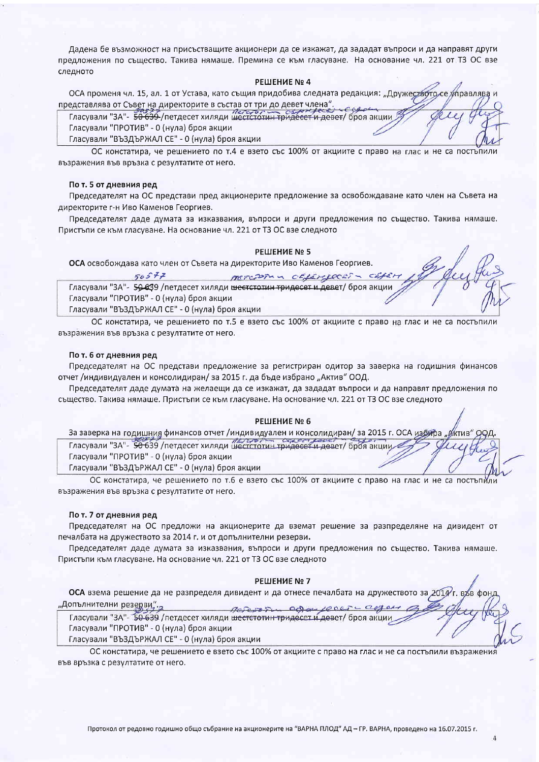Дадена бе възможност на присъстващите акционери да се изкажат, да зададат въпроси и да направят други предложения по същество. Такива нямаше. Премина се към гласуване. На основание чл. 221 от ТЗ ОС взе следното

#### РЕШЕНИЕ № 4

ОСА променя чл. 15, ал. 1 от Устава, като същия придобива следната редакция: "Дружеството се представлява от Съвет на директорите в състав от три до девет члена".

Гласували "ЗА"- 50 639-/петдесет хиляди шестстотин тридесет и девет/ броя акции Гласували "ПРОТИВ" - 0 (нула) броя акции

Гласували "ВЪЗДЪРЖАЛ СЕ" - 0 (нула) броя акции

ОС констатира, че решението по т.4 е взето със 100% от акциите с право на глас и не са постъпили възражения във връзка с резултатите от него.

#### По т. 5 от дневния ред

Председателят на ОС представи пред акционерите предложение за освобождаване като член на Съвета на директорите г-н Иво Каменов Георгиев.

Председателят даде думата за изказвания, въпроси и други предложения по същество. Такива нямаше. Пристъпи се към гласуване. На основание чл. 221 от ТЗ ОС взе следното

#### РЕШЕНИЕ № 5

ОСА освобождава като член от Съвета на директорите Иво Каменов Георгиев.

| 50577                                                                                        | METCORIN OFFERFOORS - CEFE |  |
|----------------------------------------------------------------------------------------------|----------------------------|--|
| Гласували "ЗА"- 50-639 /петдесет хиляди ше <del>стстотин тридесет и деве</del> т/ броя акции |                            |  |
| Гласували "ПРОТИВ" - 0 (нула) броя акции                                                     |                            |  |
| Гласували "ВЪЗДЪРЖАЛ СЕ" - 0 (нула) броя акции                                               |                            |  |

ОС констатира, че решението по т.5 е взето със 100% от акциите с право на глас и не са постъпили възражения във връзка с резултатите от него.

#### По т. 6 от дневния ред

Председателят на ОС представи предложение за регистриран одитор за заверка на годишния финансов отчет /индивидуален и консолидиран/ за 2015 г. да бъде избрано "Актив" ООД.

Председателят даде думата на желаещи да се изкажат, да зададат въпроси и да направят предложения по същество. Такива нямаше. Пристъпи се към гласуване. На основание чл. 221 от ТЗ ОС взе следното

#### РЕШЕНИЕ № 6

| За заверка на годишния финансов отчет /индивидуален и консолидиран/ за 2015 г. ОСА избира " <i>М</i> ктив" ООД. |  |
|-----------------------------------------------------------------------------------------------------------------|--|
| Гласували "ЗА"- 50 639 /петдесет хиляди шестстотин тридесет и девет/ броя акции - Улиции                        |  |
| Гласували "ПРОТИВ" - 0 (нула) броя акции                                                                        |  |
| Гласували "ВЪЗДЪРЖАЛ СЕ" - 0 (нула) броя акции                                                                  |  |

ОС констатира, че решението по т.6 е взето със 100% от акциите с право на глас и не са постъпили възражения във връзка с резултатите от него.

## По т. 7 от дневния ред

Председателят на ОС предложи на акционерите да вземат решение за разпределяне на дивидент от печалбата на дружеството за 2014 г. и от допълнителни резерви.

Председателят даде думата за изказвания, въпроси и други предложения по същество. Такива нямаше. Пристъпи към гласуване. На основание чл. 221 от ТЗ ОС взе следното

#### РЕШЕНИЕ № 7

ОСА взема решение да не разпределя дивидент и да отнесе печалбата на дружеството за 2014 "Допълнителни резерви" -2 Percroque againsonct Celler

Гласували "ЗА"- 50 639 /петдесет хиляди шестстотин тридесет и девет/ броя акции

Гласували "ПРОТИВ" - 0 (нула) броя акции

Гласували "ВЪЗДЪРЖАЛ СЕ" - 0 (нула) броя акции

ОС констатира, че решението е взето със 100% от акциите с право на глас и не са постъпили възражения във връзка с резултатите от него.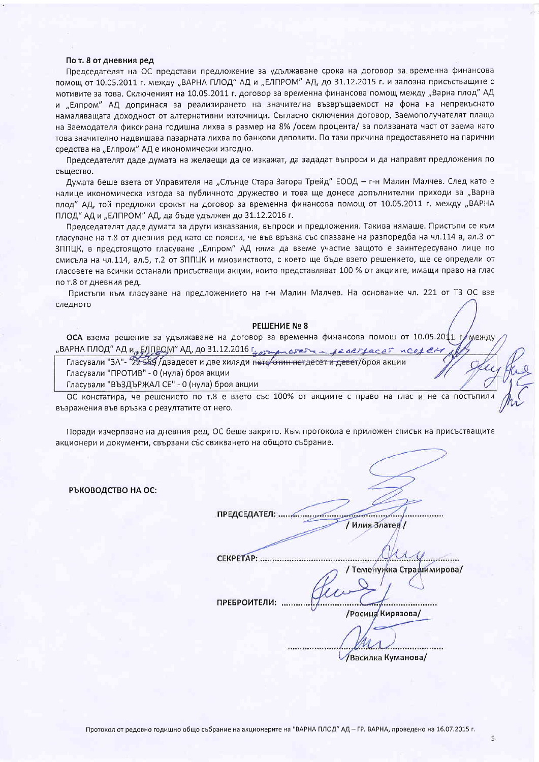#### По т. 8 от дневния ред

Председателят на ОС представи предложение за удължаване срока на договор за временна финансова помощ от 10.05.2011 г. между "ВАРНА ПЛОД" АД и "ЕЛПРОМ" АД, до 31.12.2015 г. и запозна присъстващите с мотивите за това. Сключеният на 10.05.2011 г. договор за временна финансова помощ между "Варна плод" АД и "Елпром" АД допринася за реализирането на значителна възвръщаемост на фона на непрекъснато намаляващата доходност от алтернативни източници. Съгласно сключения договор, Заемополучателят плаща на Заемодателя фиксирана годишна лихва в размер на 8% /осем процента/ за ползваната част от заема като това значително надвишава пазарната лихва по банкови депозити. По тази причина предоставянето на парични средства на "Елпром" АД е икономически изгодно.

Председателят даде думата на желаещи да се изкажат, да зададат въпроси и да направят предложения по същество.

Думата беше взета от Управителя на "Слънце Стара Загора Трейд" ЕООД – г-н Малин Малчев. След като е налице икономическа изгода за публичното дружество и това ще донесе допълнителни приходи за "Варна плод" АД, той предложи срокът на договор за временна финансова помощ от 10.05.2011 г. между "ВАРНА ПЛОД" АД и "ЕЛПРОМ" АД, да бъде удължен до 31.12.2016 г.

Председателят даде думата за други изказвания, въпроси и предложения. Такива нямаше. Пристъпи се към гласуване на т.8 от дневния ред като се поясни, че във връзка със спазване на разпоредба на чл.114 а, ал.3 от ЗППЦК, в предстоящото гласуване "Елпром" АД няма да вземе участие защото е заинтересувано лице по смисъла на чл.114, ал.5, т.2 от ЗППЦК и мнозинството, с което ще бъде взето решението, ще се определи от гласовете на всички останали присъстващи акции, които представляват 100 % от акциите, имащи право на глас по т.8 от дневния ред.

Пристъпи към гласуване на предложението на г-н Малин Малчев. На основание чл. 221 от ТЗ ОС взе следното

#### РЕШЕНИЕ № 8

ОСА взема решение за удължаване на договор за временна финансова помощ от 10.05.2011 MAHIN "ВАРНА ПЛОД" АД И<sub>Л</sub>ЕЛП<u>РОМ" АД, до 31.12.2016 годинательно забеление</u>

Гласували "ЗА"- 22559 Двадесет и две хиляди пететотин петдесет и девет/броя акции

Гласували "ПРОТИВ" - 0 (нула) броя акции

Гласували "ВЪЗДЪРЖАЛ СЕ" - 0 (нула) броя акции

ОС констатира, че решението по т.8 е взето със 100% от акциите с право на глас и не са постъпили възражения във връзка с резултатите от него.

Поради изчерпване на дневния ред, ОС беше закрито. Към протокола е приложен списък на присъстващите акционери и документи, свързани със свикването на общото събрание.

РЪКОВОДСТВО НА ОС:

/ Илия Златев /

CEKPETAP: ........ / Теменужка Страшимирова/

ПРЕБРОИТЕЛИ: .....

/Росица Кирязова/

/Василка Куманова/

 $\overline{5}$